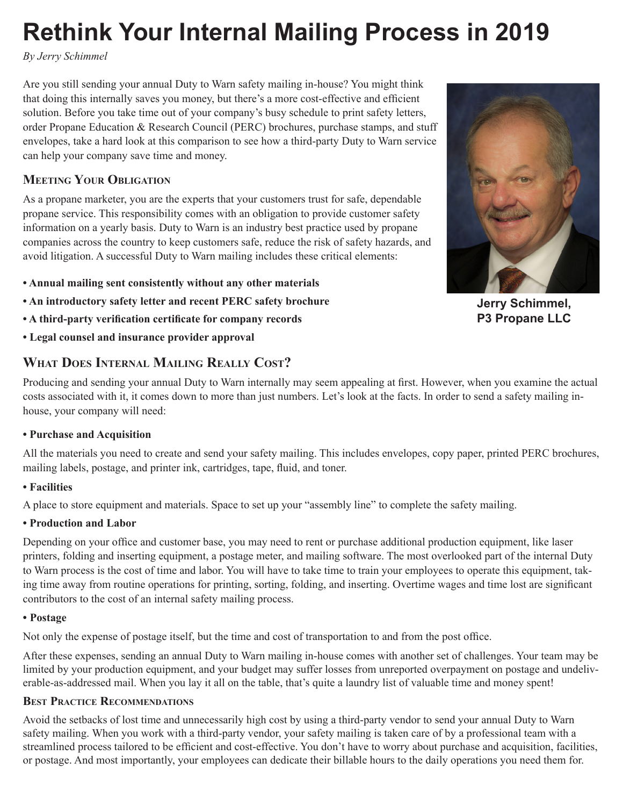# **Rethink Your Internal Mailing Process in 2019**

*By Jerry Schimmel*

Are you still sending your annual Duty to Warn safety mailing in-house? You might think that doing this internally saves you money, but there's a more cost-effective and efficient solution. Before you take time out of your company's busy schedule to print safety letters, order Propane Education & Research Council (PERC) brochures, purchase stamps, and stuff envelopes, take a hard look at this comparison to see how a third-party Duty to Warn service can help your company save time and money.

## **Meeting Your Obligation**

As a propane marketer, you are the experts that your customers trust for safe, dependable propane service. This responsibility comes with an obligation to provide customer safety information on a yearly basis. Duty to Warn is an industry best practice used by propane companies across the country to keep customers safe, reduce the risk of safety hazards, and avoid litigation. A successful Duty to Warn mailing includes these critical elements:

- **Annual mailing sent consistently without any other materials**
- **An introductory safety letter and recent PERC safety brochure**
- **A third-party verification certificate for company records**
- **Legal counsel and insurance provider approval**

## **What Does Internal Mailing Really Cost?**

Producing and sending your annual Duty to Warn internally may seem appealing at first. However, when you examine the actual costs associated with it, it comes down to more than just numbers. Let's look at the facts. In order to send a safety mailing inhouse, your company will need:

## **• Purchase and Acquisition**

All the materials you need to create and send your safety mailing. This includes envelopes, copy paper, printed PERC brochures, mailing labels, postage, and printer ink, cartridges, tape, fluid, and toner.

## **• Facilities**

A place to store equipment and materials. Space to set up your "assembly line" to complete the safety mailing.

## **• Production and Labor**

Depending on your office and customer base, you may need to rent or purchase additional production equipment, like laser printers, folding and inserting equipment, a postage meter, and mailing software. The most overlooked part of the internal Duty to Warn process is the cost of time and labor. You will have to take time to train your employees to operate this equipment, taking time away from routine operations for printing, sorting, folding, and inserting. Overtime wages and time lost are significant contributors to the cost of an internal safety mailing process.

## **• Postage**

Not only the expense of postage itself, but the time and cost of transportation to and from the post office.

After these expenses, sending an annual Duty to Warn mailing in-house comes with another set of challenges. Your team may be limited by your production equipment, and your budget may suffer losses from unreported overpayment on postage and undeliverable-as-addressed mail. When you lay it all on the table, that's quite a laundry list of valuable time and money spent!

## **Best Practice Recommendations**

Avoid the setbacks of lost time and unnecessarily high cost by using a third-party vendor to send your annual Duty to Warn safety mailing. When you work with a third-party vendor, your safety mailing is taken care of by a professional team with a streamlined process tailored to be efficient and cost-effective. You don't have to worry about purchase and acquisition, facilities, or postage. And most importantly, your employees can dedicate their billable hours to the daily operations you need them for.



**Jerry Schimmel, P3 Propane LLC**